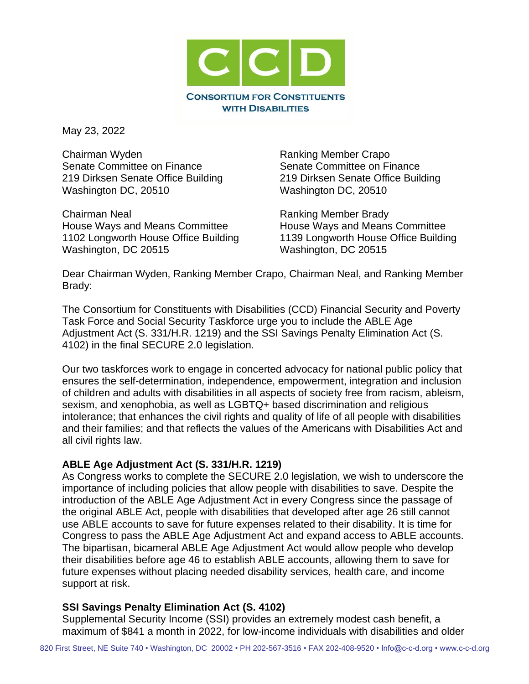

May 23, 2022

Chairman Wyden **Ranking Member Crapo** Senate Committee on Finance Senate Committee on Finance 219 Dirksen Senate Office Building 219 Dirksen Senate Office Building Washington DC, 20510 Washington DC, 20510

Chairman Neal **Ranking Member Brady** House Ways and Means Committee **House Ways and Means Committee** Washington, DC 20515 Washington, DC 20515

1102 Longworth House Office Building 1139 Longworth House Office Building

Dear Chairman Wyden, Ranking Member Crapo, Chairman Neal, and Ranking Member Brady:

The Consortium for Constituents with Disabilities (CCD) Financial Security and Poverty Task Force and Social Security Taskforce urge you to include the ABLE Age Adjustment Act (S. 331/H.R. 1219) and the SSI Savings Penalty Elimination Act (S. 4102) in the final SECURE 2.0 legislation.

Our two taskforces work to engage in concerted advocacy for national public policy that ensures the self-determination, independence, empowerment, integration and inclusion of children and adults with disabilities in all aspects of society free from racism, ableism, sexism, and xenophobia, as well as LGBTQ+ based discrimination and religious intolerance; that enhances the civil rights and quality of life of all people with disabilities and their families; and that reflects the values of the Americans with Disabilities Act and all civil rights law.

## **ABLE Age Adjustment Act (S. 331/H.R. 1219)**

As Congress works to complete the SECURE 2.0 legislation, we wish to underscore the importance of including policies that allow people with disabilities to save. Despite the introduction of the ABLE Age Adjustment Act in every Congress since the passage of the original ABLE Act, people with disabilities that developed after age 26 still cannot use ABLE accounts to save for future expenses related to their disability. It is time for Congress to pass the ABLE Age Adjustment Act and expand access to ABLE accounts. The bipartisan, bicameral ABLE Age Adjustment Act would allow people who develop their disabilities before age 46 to establish ABLE accounts, allowing them to save for future expenses without placing needed disability services, health care, and income support at risk.

## **SSI Savings Penalty Elimination Act (S. 4102)**

Supplemental Security Income (SSI) provides an extremely modest cash benefit, a maximum of \$841 a month in 2022, for low-income individuals with disabilities and older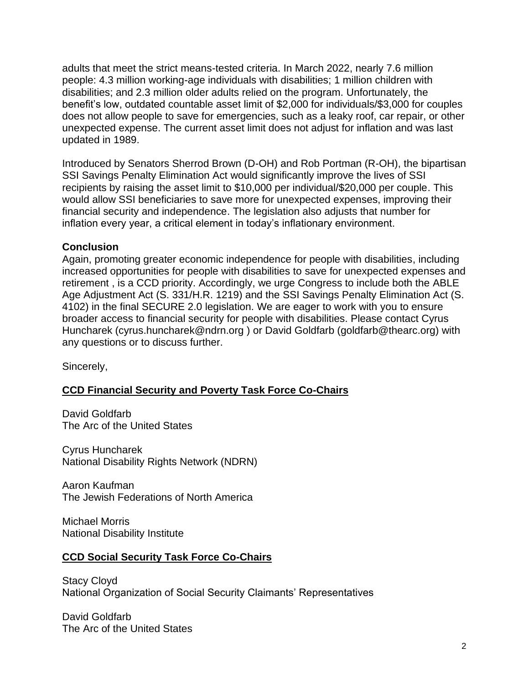adults that meet the strict means-tested criteria. In March 2022, nearly 7.6 million people: 4.3 million working-age individuals with disabilities; 1 million children with disabilities; and 2.3 million older adults relied on the program. Unfortunately, the benefit's low, outdated countable asset limit of \$2,000 for individuals/\$3,000 for couples does not allow people to save for emergencies, such as a leaky roof, car repair, or other unexpected expense. The current asset limit does not adjust for inflation and was last updated in 1989.

Introduced by Senators Sherrod Brown (D-OH) and Rob Portman (R-OH), the bipartisan SSI Savings Penalty Elimination Act would significantly improve the lives of SSI recipients by raising the asset limit to \$10,000 per individual/\$20,000 per couple. This would allow SSI beneficiaries to save more for unexpected expenses, improving their financial security and independence. The legislation also adjusts that number for inflation every year, a critical element in today's inflationary environment.

## **Conclusion**

Again, promoting greater economic independence for people with disabilities, including increased opportunities for people with disabilities to save for unexpected expenses and retirement , is a CCD priority. Accordingly, we urge Congress to include both the ABLE Age Adjustment Act (S. 331/H.R. 1219) and the SSI Savings Penalty Elimination Act (S. 4102) in the final SECURE 2.0 legislation. We are eager to work with you to ensure broader access to financial security for people with disabilities. Please contact Cyrus Huncharek (cyrus.huncharek@ndrn.org ) or David Goldfarb (goldfarb@thearc.org) with any questions or to discuss further.

Sincerely,

# **CCD Financial Security and Poverty Task Force Co-Chairs**

David Goldfarb The Arc of the United States

Cyrus Huncharek National Disability Rights Network (NDRN)

Aaron Kaufman The Jewish Federations of North America

Michael Morris National Disability Institute

# **CCD Social Security Task Force Co-Chairs**

Stacy Cloyd National Organization of Social Security Claimants' Representatives

David Goldfarb The Arc of the United States